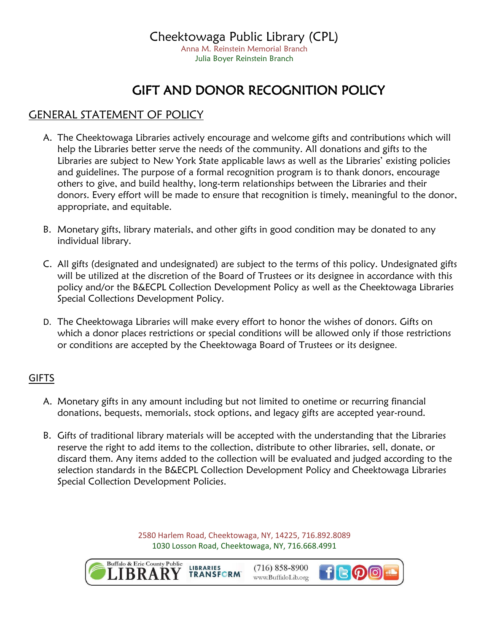## GIFT AND DONOR RECOGNITION POLICY

## GENERAL STATEMENT OF POLICY

- A. The Cheektowaga Libraries actively encourage and welcome gifts and contributions which will help the Libraries better serve the needs of the community. All donations and gifts to the Libraries are subject to New York State applicable laws as well as the Libraries' existing policies and guidelines. The purpose of a formal recognition program is to thank donors, encourage others to give, and build healthy, long-term relationships between the Libraries and their donors. Every effort will be made to ensure that recognition is timely, meaningful to the donor, appropriate, and equitable.
- B. Monetary gifts, library materials, and other gifts in good condition may be donated to any individual library.
- C. All gifts (designated and undesignated) are subject to the terms of this policy. Undesignated gifts will be utilized at the discretion of the Board of Trustees or its designee in accordance with this policy and/or the B&ECPL Collection Development Policy as well as the Cheektowaga Libraries Special Collections Development Policy.
- D. The Cheektowaga Libraries will make every effort to honor the wishes of donors. Gifts on which a donor places restrictions or special conditions will be allowed only if those restrictions or conditions are accepted by the Cheektowaga Board of Trustees or its designee.

## **GIFTS**

- A. Monetary gifts in any amount including but not limited to onetime or recurring financial donations, bequests, memorials, stock options, and legacy gifts are accepted year-round.
- B. Gifts of traditional library materials will be accepted with the understanding that the Libraries reserve the right to add items to the collection, distribute to other libraries, sell, donate, or discard them. Any items added to the collection will be evaluated and judged according to the selection standards in the B&ECPL Collection Development Policy and Cheektowaga Libraries Special Collection Development Policies.

2580 Harlem Road, Cheektowaga, NY, 14225, 716.892.8089 1030 Losson Road, Cheektowaga, NY, 716.668.4991